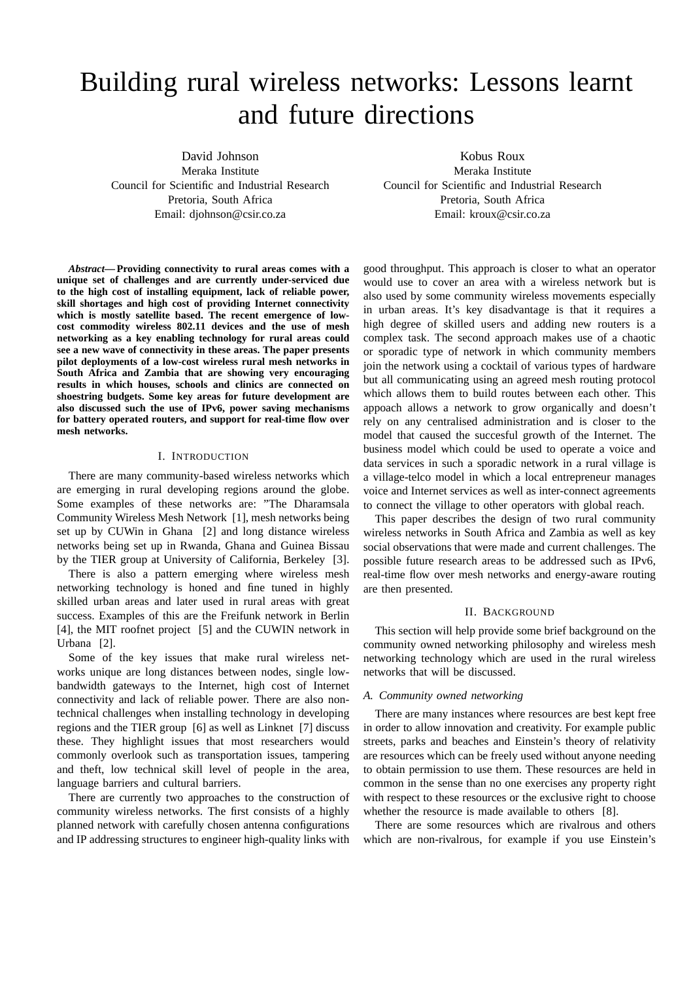# Building rural wireless networks: Lessons learnt and future directions

David Johnson Meraka Institute Council for Scientific and Industrial Research Pretoria, South Africa Email: djohnson@csir.co.za

Kobus Roux Meraka Institute Council for Scientific and Industrial Research Pretoria, South Africa Email: kroux@csir.co.za

*Abstract***— Providing connectivity to rural areas comes with a unique set of challenges and are currently under-serviced due to the high cost of installing equipment, lack of reliable power, skill shortages and high cost of providing Internet connectivity which is mostly satellite based. The recent emergence of lowcost commodity wireless 802.11 devices and the use of mesh networking as a key enabling technology for rural areas could see a new wave of connectivity in these areas. The paper presents pilot deployments of a low-cost wireless rural mesh networks in South Africa and Zambia that are showing very encouraging results in which houses, schools and clinics are connected on shoestring budgets. Some key areas for future development are also discussed such the use of IPv6, power saving mechanisms for battery operated routers, and support for real-time flow over mesh networks.**

### I. INTRODUCTION

There are many community-based wireless networks which are emerging in rural developing regions around the globe. Some examples of these networks are: "The Dharamsala Community Wireless Mesh Network [1], mesh networks being set up by CUWin in Ghana [2] and long distance wireless networks being set up in Rwanda, Ghana and Guinea Bissau by the TIER group at University of California, Berkeley [3].

There is also a pattern emerging where wireless mesh networking technology is honed and fine tuned in highly skilled urban areas and later used in rural areas with great success. Examples of this are the Freifunk network in Berlin [4], the MIT roofnet project [5] and the CUWIN network in Urbana [2].

Some of the key issues that make rural wireless networks unique are long distances between nodes, single lowbandwidth gateways to the Internet, high cost of Internet connectivity and lack of reliable power. There are also nontechnical challenges when installing technology in developing regions and the TIER group [6] as well as Linknet [7] discuss these. They highlight issues that most researchers would commonly overlook such as transportation issues, tampering and theft, low technical skill level of people in the area, language barriers and cultural barriers.

There are currently two approaches to the construction of community wireless networks. The first consists of a highly planned network with carefully chosen antenna configurations and IP addressing structures to engineer high-quality links with good throughput. This approach is closer to what an operator would use to cover an area with a wireless network but is also used by some community wireless movements especially in urban areas. It's key disadvantage is that it requires a high degree of skilled users and adding new routers is a complex task. The second approach makes use of a chaotic or sporadic type of network in which community members join the network using a cocktail of various types of hardware but all communicating using an agreed mesh routing protocol which allows them to build routes between each other. This appoach allows a network to grow organically and doesn't rely on any centralised administration and is closer to the model that caused the succesful growth of the Internet. The business model which could be used to operate a voice and data services in such a sporadic network in a rural village is a village-telco model in which a local entrepreneur manages voice and Internet services as well as inter-connect agreements to connect the village to other operators with global reach.

This paper describes the design of two rural community wireless networks in South Africa and Zambia as well as key social observations that were made and current challenges. The possible future research areas to be addressed such as IPv6, real-time flow over mesh networks and energy-aware routing are then presented.

#### II. BACKGROUND

This section will help provide some brief background on the community owned networking philosophy and wireless mesh networking technology which are used in the rural wireless networks that will be discussed.

## *A. Community owned networking*

There are many instances where resources are best kept free in order to allow innovation and creativity. For example public streets, parks and beaches and Einstein's theory of relativity are resources which can be freely used without anyone needing to obtain permission to use them. These resources are held in common in the sense than no one exercises any property right with respect to these resources or the exclusive right to choose whether the resource is made available to others [8].

There are some resources which are rivalrous and others which are non-rivalrous, for example if you use Einstein's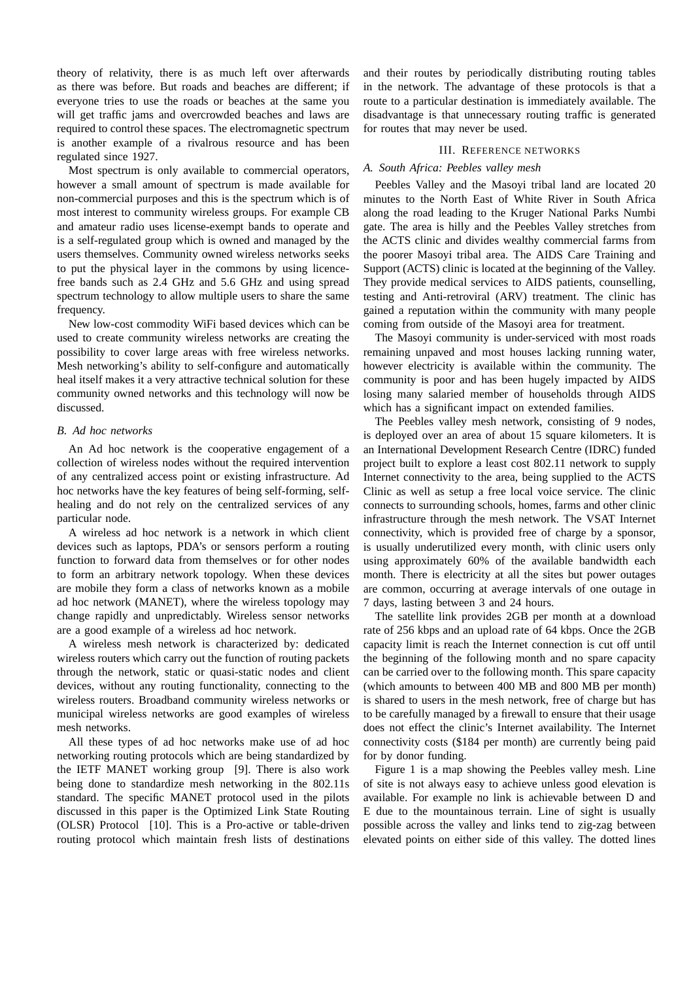theory of relativity, there is as much left over afterwards as there was before. But roads and beaches are different; if everyone tries to use the roads or beaches at the same you will get traffic jams and overcrowded beaches and laws are required to control these spaces. The electromagnetic spectrum is another example of a rivalrous resource and has been regulated since 1927.

Most spectrum is only available to commercial operators, however a small amount of spectrum is made available for non-commercial purposes and this is the spectrum which is of most interest to community wireless groups. For example CB and amateur radio uses license-exempt bands to operate and is a self-regulated group which is owned and managed by the users themselves. Community owned wireless networks seeks to put the physical layer in the commons by using licencefree bands such as 2.4 GHz and 5.6 GHz and using spread spectrum technology to allow multiple users to share the same frequency.

New low-cost commodity WiFi based devices which can be used to create community wireless networks are creating the possibility to cover large areas with free wireless networks. Mesh networking's ability to self-configure and automatically heal itself makes it a very attractive technical solution for these community owned networks and this technology will now be discussed.

#### *B. Ad hoc networks*

An Ad hoc network is the cooperative engagement of a collection of wireless nodes without the required intervention of any centralized access point or existing infrastructure. Ad hoc networks have the key features of being self-forming, selfhealing and do not rely on the centralized services of any particular node.

A wireless ad hoc network is a network in which client devices such as laptops, PDA's or sensors perform a routing function to forward data from themselves or for other nodes to form an arbitrary network topology. When these devices are mobile they form a class of networks known as a mobile ad hoc network (MANET), where the wireless topology may change rapidly and unpredictably. Wireless sensor networks are a good example of a wireless ad hoc network.

A wireless mesh network is characterized by: dedicated wireless routers which carry out the function of routing packets through the network, static or quasi-static nodes and client devices, without any routing functionality, connecting to the wireless routers. Broadband community wireless networks or municipal wireless networks are good examples of wireless mesh networks.

All these types of ad hoc networks make use of ad hoc networking routing protocols which are being standardized by the IETF MANET working group [9]. There is also work being done to standardize mesh networking in the 802.11s standard. The specific MANET protocol used in the pilots discussed in this paper is the Optimized Link State Routing (OLSR) Protocol [10]. This is a Pro-active or table-driven routing protocol which maintain fresh lists of destinations

and their routes by periodically distributing routing tables in the network. The advantage of these protocols is that a route to a particular destination is immediately available. The disadvantage is that unnecessary routing traffic is generated for routes that may never be used.

### III. REFERENCE NETWORKS

## *A. South Africa: Peebles valley mesh*

Peebles Valley and the Masoyi tribal land are located 20 minutes to the North East of White River in South Africa along the road leading to the Kruger National Parks Numbi gate. The area is hilly and the Peebles Valley stretches from the ACTS clinic and divides wealthy commercial farms from the poorer Masoyi tribal area. The AIDS Care Training and Support (ACTS) clinic is located at the beginning of the Valley. They provide medical services to AIDS patients, counselling, testing and Anti-retroviral (ARV) treatment. The clinic has gained a reputation within the community with many people coming from outside of the Masoyi area for treatment.

The Masoyi community is under-serviced with most roads remaining unpaved and most houses lacking running water, however electricity is available within the community. The community is poor and has been hugely impacted by AIDS losing many salaried member of households through AIDS which has a significant impact on extended families.

The Peebles valley mesh network, consisting of 9 nodes, is deployed over an area of about 15 square kilometers. It is an International Development Research Centre (IDRC) funded project built to explore a least cost 802.11 network to supply Internet connectivity to the area, being supplied to the ACTS Clinic as well as setup a free local voice service. The clinic connects to surrounding schools, homes, farms and other clinic infrastructure through the mesh network. The VSAT Internet connectivity, which is provided free of charge by a sponsor, is usually underutilized every month, with clinic users only using approximately 60% of the available bandwidth each month. There is electricity at all the sites but power outages are common, occurring at average intervals of one outage in 7 days, lasting between 3 and 24 hours.

The satellite link provides 2GB per month at a download rate of 256 kbps and an upload rate of 64 kbps. Once the 2GB capacity limit is reach the Internet connection is cut off until the beginning of the following month and no spare capacity can be carried over to the following month. This spare capacity (which amounts to between 400 MB and 800 MB per month) is shared to users in the mesh network, free of charge but has to be carefully managed by a firewall to ensure that their usage does not effect the clinic's Internet availability. The Internet connectivity costs (\$184 per month) are currently being paid for by donor funding.

Figure 1 is a map showing the Peebles valley mesh. Line of site is not always easy to achieve unless good elevation is available. For example no link is achievable between D and E due to the mountainous terrain. Line of sight is usually possible across the valley and links tend to zig-zag between elevated points on either side of this valley. The dotted lines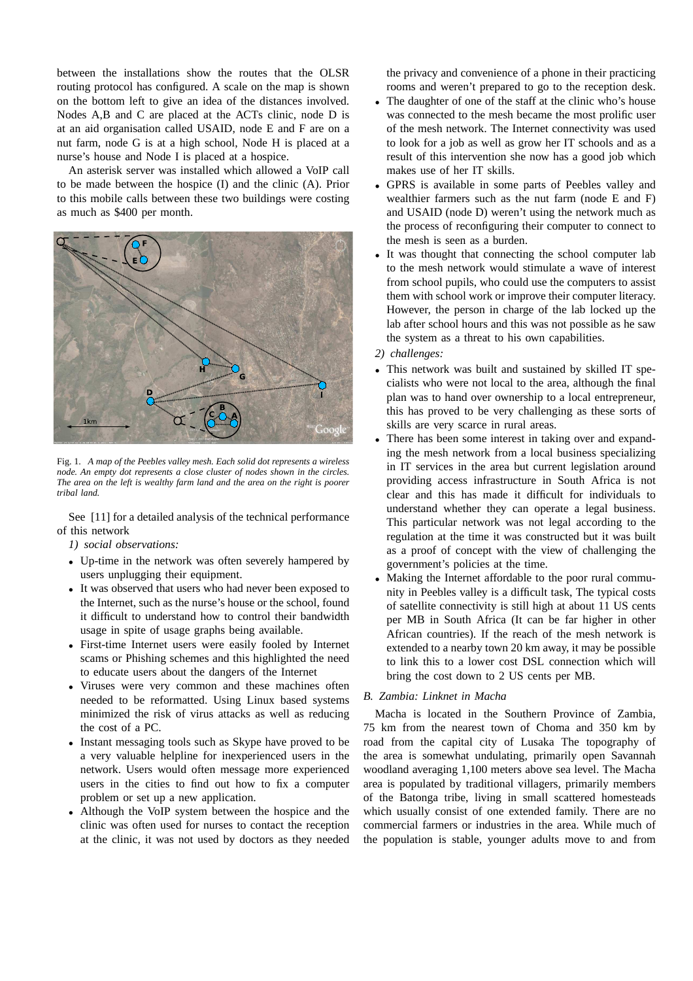between the installations show the routes that the OLSR routing protocol has configured. A scale on the map is shown on the bottom left to give an idea of the distances involved. Nodes A,B and C are placed at the ACTs clinic, node D is at an aid organisation called USAID, node E and F are on a nut farm, node G is at a high school, Node H is placed at a nurse's house and Node I is placed at a hospice.

An asterisk server was installed which allowed a VoIP call to be made between the hospice (I) and the clinic (A). Prior to this mobile calls between these two buildings were costing as much as \$400 per month.



Fig. 1. *A map of the Peebles valley mesh. Each solid dot represents a wireless node. An empty dot represents a close cluster of nodes shown in the circles. The area on the left is wealthy farm land and the area on the right is poorer tribal land.*

See [11] for a detailed analysis of the technical performance of this network

*1) social observations:*

- Up-time in the network was often severely hampered by users unplugging their equipment.
- It was observed that users who had never been exposed to the Internet, such as the nurse's house or the school, found it difficult to understand how to control their bandwidth usage in spite of usage graphs being available.
- First-time Internet users were easily fooled by Internet scams or Phishing schemes and this highlighted the need to educate users about the dangers of the Internet
- Viruses were very common and these machines often needed to be reformatted. Using Linux based systems minimized the risk of virus attacks as well as reducing the cost of a PC.
- Instant messaging tools such as Skype have proved to be a very valuable helpline for inexperienced users in the network. Users would often message more experienced users in the cities to find out how to fix a computer problem or set up a new application.
- Although the VoIP system between the hospice and the clinic was often used for nurses to contact the reception at the clinic, it was not used by doctors as they needed

the privacy and convenience of a phone in their practicing rooms and weren't prepared to go to the reception desk.

- The daughter of one of the staff at the clinic who's house was connected to the mesh became the most prolific user of the mesh network. The Internet connectivity was used to look for a job as well as grow her IT schools and as a result of this intervention she now has a good job which makes use of her IT skills.
- GPRS is available in some parts of Peebles valley and wealthier farmers such as the nut farm (node E and F) and USAID (node D) weren't using the network much as the process of reconfiguring their computer to connect to the mesh is seen as a burden.
- It was thought that connecting the school computer lab to the mesh network would stimulate a wave of interest from school pupils, who could use the computers to assist them with school work or improve their computer literacy. However, the person in charge of the lab locked up the lab after school hours and this was not possible as he saw the system as a threat to his own capabilities.
- *2) challenges:*
- This network was built and sustained by skilled IT specialists who were not local to the area, although the final plan was to hand over ownership to a local entrepreneur, this has proved to be very challenging as these sorts of skills are very scarce in rural areas.
- There has been some interest in taking over and expanding the mesh network from a local business specializing in IT services in the area but current legislation around providing access infrastructure in South Africa is not clear and this has made it difficult for individuals to understand whether they can operate a legal business. This particular network was not legal according to the regulation at the time it was constructed but it was built as a proof of concept with the view of challenging the government's policies at the time.
- Making the Internet affordable to the poor rural community in Peebles valley is a difficult task, The typical costs of satellite connectivity is still high at about 11 US cents per MB in South Africa (It can be far higher in other African countries). If the reach of the mesh network is extended to a nearby town 20 km away, it may be possible to link this to a lower cost DSL connection which will bring the cost down to 2 US cents per MB.

## *B. Zambia: Linknet in Macha*

Macha is located in the Southern Province of Zambia, 75 km from the nearest town of Choma and 350 km by road from the capital city of Lusaka The topography of the area is somewhat undulating, primarily open Savannah woodland averaging 1,100 meters above sea level. The Macha area is populated by traditional villagers, primarily members of the Batonga tribe, living in small scattered homesteads which usually consist of one extended family. There are no commercial farmers or industries in the area. While much of the population is stable, younger adults move to and from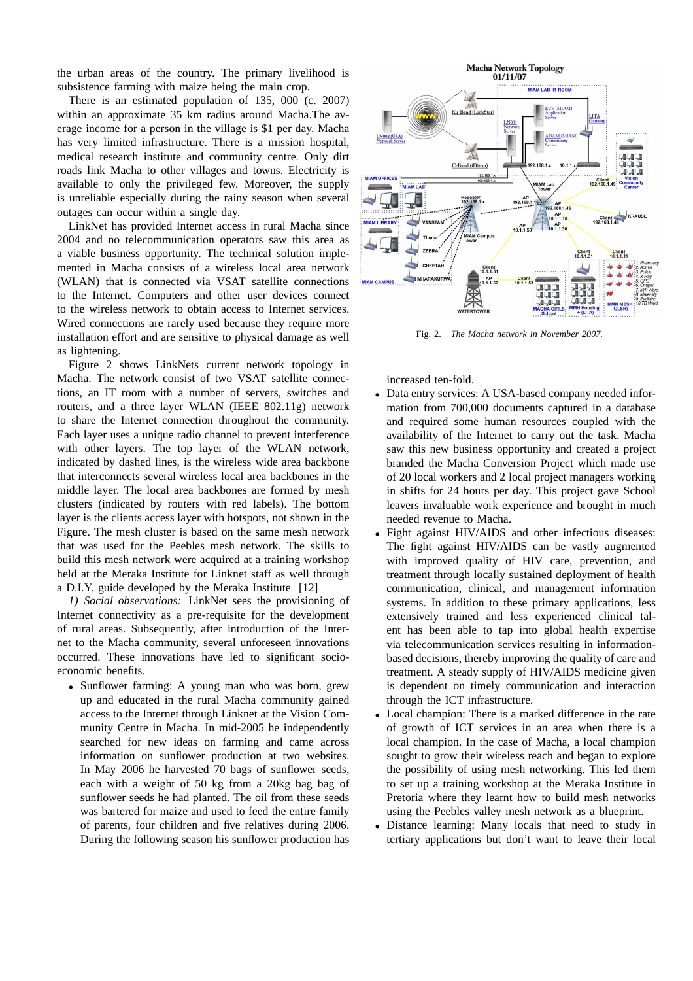the urban areas of the country. The primary livelihood is subsistence farming with maize being the main crop.

There is an estimated population of 135, 000 (c. 2007) within an approximate 35 km radius around Macha.The average income for a person in the village is \$1 per day. Macha has very limited infrastructure. There is a mission hospital, medical research institute and community centre. Only dirt roads link Macha to other villages and towns. Electricity is available to only the privileged few. Moreover, the supply is unreliable especially during the rainy season when several outages can occur within a single day.

LinkNet has provided Internet access in rural Macha since 2004 and no telecommunication operators saw this area as a viable business opportunity. The technical solution implemented in Macha consists of a wireless local area network (WLAN) that is connected via VSAT satellite connections to the Internet. Computers and other user devices connect to the wireless network to obtain access to Internet services. Wired connections are rarely used because they require more installation effort and are sensitive to physical damage as well as lightening.

Figure 2 shows LinkNets current network topology in Macha. The network consist of two VSAT satellite connections, an IT room with a number of servers, switches and routers, and a three layer WLAN (IEEE 802.11g) network to share the Internet connection throughout the community. Each layer uses a unique radio channel to prevent interference with other layers. The top layer of the WLAN network, indicated by dashed lines, is the wireless wide area backbone that interconnects several wireless local area backbones in the middle layer. The local area backbones are formed by mesh clusters (indicated by routers with red labels). The bottom layer is the clients access layer with hotspots, not shown in the Figure. The mesh cluster is based on the same mesh network that was used for the Peebles mesh network. The skills to build this mesh network were acquired at a training workshop held at the Meraka Institute for Linknet staff as well through a D.I.Y. guide developed by the Meraka Institute [12]

*1) Social observations:* LinkNet sees the provisioning of Internet connectivity as a pre-requisite for the development of rural areas. Subsequently, after introduction of the Internet to the Macha community, several unforeseen innovations occurred. These innovations have led to significant socioeconomic benefits.

• Sunflower farming: A young man who was born, grew up and educated in the rural Macha community gained access to the Internet through Linknet at the Vision Community Centre in Macha. In mid-2005 he independently searched for new ideas on farming and came across information on sunflower production at two websites. In May 2006 he harvested 70 bags of sunflower seeds, each with a weight of 50 kg from a 20kg bag bag of sunflower seeds he had planted. The oil from these seeds was bartered for maize and used to feed the entire family of parents, four children and five relatives during 2006. During the following season his sunflower production has



Fig. 2. *The Macha network in November 2007.*

increased ten-fold.

- Data entry services: A USA-based company needed information from 700,000 documents captured in a database and required some human resources coupled with the availability of the Internet to carry out the task. Macha saw this new business opportunity and created a project branded the Macha Conversion Project which made use of 20 local workers and 2 local project managers working in shifts for 24 hours per day. This project gave School leavers invaluable work experience and brought in much needed revenue to Macha.
- Fight against HIV/AIDS and other infectious diseases: The fight against HIV/AIDS can be vastly augmented with improved quality of HIV care, prevention, and treatment through locally sustained deployment of health communication, clinical, and management information systems. In addition to these primary applications, less extensively trained and less experienced clinical talent has been able to tap into global health expertise via telecommunication services resulting in informationbased decisions, thereby improving the quality of care and treatment. A steady supply of HIV/AIDS medicine given is dependent on timely communication and interaction through the ICT infrastructure.
- Local champion: There is a marked difference in the rate of growth of ICT services in an area when there is a local champion. In the case of Macha, a local champion sought to grow their wireless reach and began to explore the possibility of using mesh networking. This led them to set up a training workshop at the Meraka Institute in Pretoria where they learnt how to build mesh networks using the Peebles valley mesh network as a blueprint.
- Distance learning: Many locals that need to study in tertiary applications but don't want to leave their local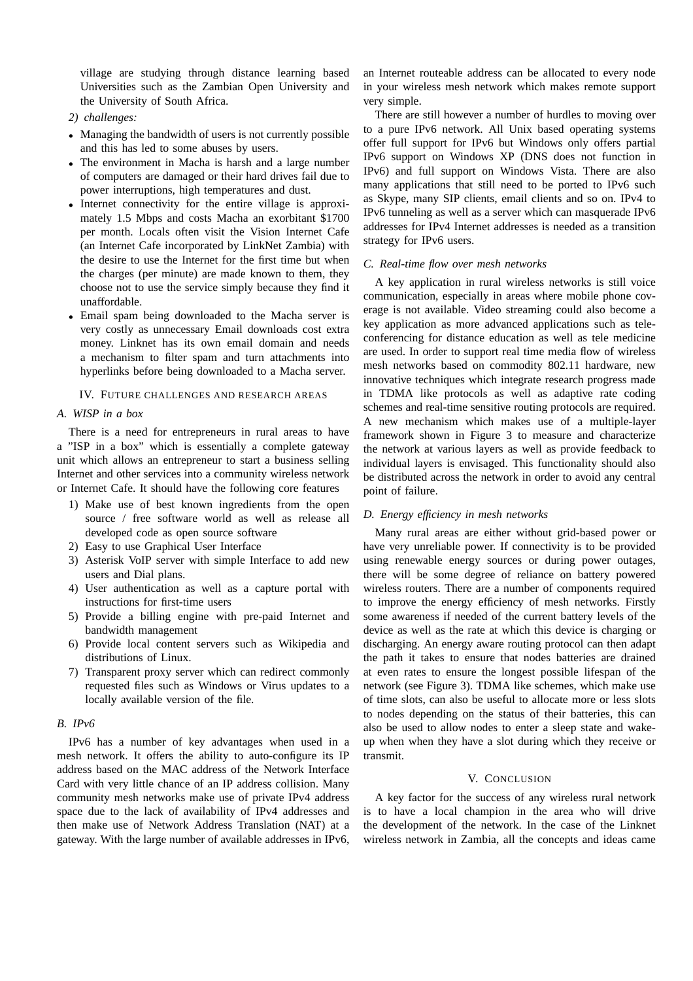village are studying through distance learning based Universities such as the Zambian Open University and the University of South Africa.

## *2) challenges:*

- Managing the bandwidth of users is not currently possible and this has led to some abuses by users.
- The environment in Macha is harsh and a large number of computers are damaged or their hard drives fail due to power interruptions, high temperatures and dust.
- Internet connectivity for the entire village is approximately 1.5 Mbps and costs Macha an exorbitant \$1700 per month. Locals often visit the Vision Internet Cafe (an Internet Cafe incorporated by LinkNet Zambia) with the desire to use the Internet for the first time but when the charges (per minute) are made known to them, they choose not to use the service simply because they find it unaffordable.
- Email spam being downloaded to the Macha server is very costly as unnecessary Email downloads cost extra money. Linknet has its own email domain and needs a mechanism to filter spam and turn attachments into hyperlinks before being downloaded to a Macha server.

#### IV. FUTURE CHALLENGES AND RESEARCH AREAS

## *A. WISP in a box*

There is a need for entrepreneurs in rural areas to have a "ISP in a box" which is essentially a complete gateway unit which allows an entrepreneur to start a business selling Internet and other services into a community wireless network or Internet Cafe. It should have the following core features

- 1) Make use of best known ingredients from the open source / free software world as well as release all developed code as open source software
- 2) Easy to use Graphical User Interface
- 3) Asterisk VoIP server with simple Interface to add new users and Dial plans.
- 4) User authentication as well as a capture portal with instructions for first-time users
- 5) Provide a billing engine with pre-paid Internet and bandwidth management
- 6) Provide local content servers such as Wikipedia and distributions of Linux.
- 7) Transparent proxy server which can redirect commonly requested files such as Windows or Virus updates to a locally available version of the file.

## *B. IPv6*

IPv6 has a number of key advantages when used in a mesh network. It offers the ability to auto-configure its IP address based on the MAC address of the Network Interface Card with very little chance of an IP address collision. Many community mesh networks make use of private IPv4 address space due to the lack of availability of IPv4 addresses and then make use of Network Address Translation (NAT) at a gateway. With the large number of available addresses in IPv6, an Internet routeable address can be allocated to every node in your wireless mesh network which makes remote support very simple.

There are still however a number of hurdles to moving over to a pure IPv6 network. All Unix based operating systems offer full support for IPv6 but Windows only offers partial IPv6 support on Windows XP (DNS does not function in IPv6) and full support on Windows Vista. There are also many applications that still need to be ported to IPv6 such as Skype, many SIP clients, email clients and so on. IPv4 to IPv6 tunneling as well as a server which can masquerade IPv6 addresses for IPv4 Internet addresses is needed as a transition strategy for IPv6 users.

## *C. Real-time flow over mesh networks*

A key application in rural wireless networks is still voice communication, especially in areas where mobile phone coverage is not available. Video streaming could also become a key application as more advanced applications such as teleconferencing for distance education as well as tele medicine are used. In order to support real time media flow of wireless mesh networks based on commodity 802.11 hardware, new innovative techniques which integrate research progress made in TDMA like protocols as well as adaptive rate coding schemes and real-time sensitive routing protocols are required. A new mechanism which makes use of a multiple-layer framework shown in Figure 3 to measure and characterize the network at various layers as well as provide feedback to individual layers is envisaged. This functionality should also be distributed across the network in order to avoid any central point of failure.

## *D. Energy efficiency in mesh networks*

Many rural areas are either without grid-based power or have very unreliable power. If connectivity is to be provided using renewable energy sources or during power outages, there will be some degree of reliance on battery powered wireless routers. There are a number of components required to improve the energy efficiency of mesh networks. Firstly some awareness if needed of the current battery levels of the device as well as the rate at which this device is charging or discharging. An energy aware routing protocol can then adapt the path it takes to ensure that nodes batteries are drained at even rates to ensure the longest possible lifespan of the network (see Figure 3). TDMA like schemes, which make use of time slots, can also be useful to allocate more or less slots to nodes depending on the status of their batteries, this can also be used to allow nodes to enter a sleep state and wakeup when when they have a slot during which they receive or transmit.

#### V. CONCLUSION

A key factor for the success of any wireless rural network is to have a local champion in the area who will drive the development of the network. In the case of the Linknet wireless network in Zambia, all the concepts and ideas came